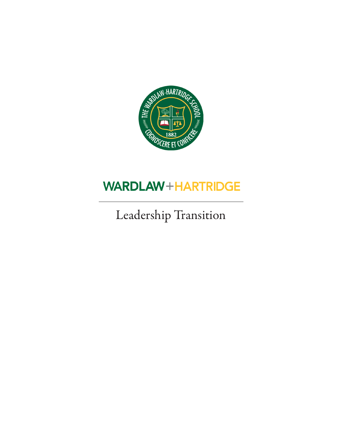

## **WARDLAW+HARTRIDGE**

## Leadership Transition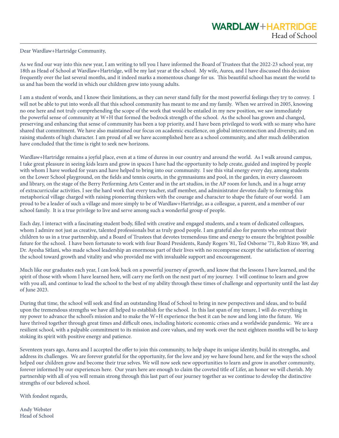Dear Wardlaw+Hartridge Community,

As we find our way into this new year, I am writing to tell you I have informed the Board of Trustees that the 2022-23 school year, my 18th as Head of School at Wardlaw+Hartridge, will be my last year at the school. My wife, Aurea, and I have discussed this decision frequently over the last several months, and it indeed marks a momentous change for us. This beautiful school has meant the world to us and has been the world in which our children grew into young adults.

I am a student of words, and I know their limitations, as they can never stand fully for the most powerful feelings they try to convey. I will not be able to put into words all that this school community has meant to me and my family. When we arrived in 2005, knowing no one here and not truly comprehending the scope of the work that would be entailed in my new position, we saw immediately the powerful sense of community at W+H that formed the bedrock strength of the school. As the school has grown and changed, preserving and enhancing that sense of community has been a top priority, and I have been privileged to work with so many who have shared that commitment. We have also maintained our focus on academic excellence, on global interconnection and diversity, and on raising students of high character. I am proud of all we have accomplished here as a school community, and after much deliberation have concluded that the time is right to seek new horizons.

Wardlaw+Hartridge remains a joyful place, even at a time of duress in our country and around the world. As I walk around campus, I take great pleasure in seeing kids learn and grow in spaces I have had the opportunity to help create, guided and inspired by people with whom I have worked for years and have helped to bring into our community. I see this vital energy every day, among students on the Lower School playground, on the fields and tennis courts, in the gymnasiums and pool, in the garden, in every classroom and library, on the stage of the Berry Performing Arts Center and in the art studios, in the AP room for lunch, and in a huge array of extracurricular activities. I see the hard work that every teacher, staff member, and administrator devotes daily to forming this metaphorical village charged with raising pioneering thinkers with the courage and character to shape the future of our world. I am proud to be a leader of such a village and more simply to be of Wardlaw+Hartridge, as a colleague, a parent, and a member of our school family. It is a true privilege to live and serve among such a wonderful group of people.

Each day, I interact with a fascinating student body, filled with creative and engaged students, and a team of dedicated colleagues, whom I admire not just as creative, talented professionals but as truly good people. I am grateful also for parents who entrust their children to us in a true partnership, and a Board of Trustees that devotes tremendous time and energy to ensure the brightest possible future for the school. I have been fortunate to work with four Board Presidents, Randy Rogers '81, Ted Osborne '71, Rob Rizzo '89, and Dr. Ayesha Sitlani, who made school leadership an enormous part of their lives with no recompense except the satisfaction of steering the school toward growth and vitality and who provided me with invaluable support and encouragement.

Much like our graduates each year, I can look back on a powerful journey of growth, and know that the lessons I have learned, and the spirit of those with whom I have learned here, will carry me forth on the next part of my journey. I will continue to learn and grow with you all, and continue to lead the school to the best of my ability through these times of challenge and opportunity until the last day of June 2023.

During that time, the school will seek and find an outstanding Head of School to bring in new perspectives and ideas, and to build upon the tremendous strengths we have all helped to establish for the school. In this last span of my tenure, I will do everything in my power to advance the school's mission and to make the W+H experience the best it can be now and long into the future. We have thrived together through great times and difficult ones, including historic economic crises and a worldwide pandemic. We are a resilient school, with a palpable commitment to its mission and core values, and my work over the next eighteen months will be to keep stoking its spirit with positive energy and patience.

Seventeen years ago, Aurea and I accepted the offer to join this community, to help shape its unique identity, build its strengths, and address its challenges. We are forever grateful for the opportunity, for the love and joy we have found here, and for the ways the school helped our children grow and become their true selves. We will now seek new opportunities to learn and grow in another community, forever informed by our experiences here. Our years here are enough to claim the coveted title of Lifer, an honor we will cherish. My partnership with all of you will remain strong through this last part of our journey together as we continue to develop the distinctive strengths of our beloved school.

With fondest regards,

Andy Webster Head of School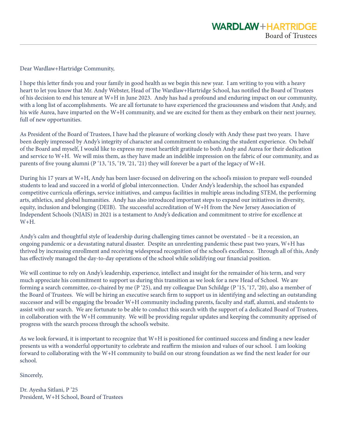Dear Wardlaw+Hartridge Community,

I hope this letter finds you and your family in good health as we begin this new year. I am writing to you with a heavy heart to let you know that Mr. Andy Webster, Head of The Wardlaw+Hartridge School, has notified the Board of Trustees of his decision to end his tenure at W+H in June 2023. Andy has had a profound and enduring impact on our community, with a long list of accomplishments. We are all fortunate to have experienced the graciousness and wisdom that Andy, and his wife Aurea, have imparted on the W+H community, and we are excited for them as they embark on their next journey, full of new opportunities.

As President of the Board of Trustees, I have had the pleasure of working closely with Andy these past two years. I have been deeply impressed by Andy's integrity of character and commitment to enhancing the student experience. On behalf of the Board and myself, I would like to express my most heartfelt gratitude to both Andy and Aurea for their dedication and service to W+H. We will miss them, as they have made an indelible impression on the fabric of our community, and as parents of five young alumni (P '13, '15, '19, '21, '21) they will forever be a part of the legacy of W+H.

During his 17 years at W+H, Andy has been laser-focused on delivering on the school's mission to prepare well-rounded students to lead and succeed in a world of global interconnection. Under Andy's leadership, the school has expanded competitive curricula offerings, service initiatives, and campus facilities in multiple areas including STEM, the performing arts, athletics, and global humanities. Andy has also introduced important steps to expand our initiatives in diversity, equity, inclusion and belonging (DEIB). The successful accreditation of W+H from the New Jersey Association of Independent Schools (NJAIS) in 2021 is a testament to Andy's dedication and commitment to strive for excellence at W+H.

Andy's calm and thoughtful style of leadership during challenging times cannot be overstated – be it a recession, an ongoing pandemic or a devastating natural disaster. Despite an unrelenting pandemic these past two years, W+H has thrived by increasing enrollment and receiving widespread recognition of the school's excellence. Through all of this, Andy has effectively managed the day-to-day operations of the school while solidifying our financial position.

We will continue to rely on Andy's leadership, experience, intellect and insight for the remainder of his term, and very much appreciate his commitment to support us during this transition as we look for a new Head of School. We are forming a search committee, co-chaired by me (P '25), and my colleague Dan Schildge (P '15, '17, '20), also a member of the Board of Trustees. We will be hiring an executive search firm to support us in identifying and selecting an outstanding successor and will be engaging the broader W+H community including parents, faculty and staff, alumni, and students to assist with our search. We are fortunate to be able to conduct this search with the support of a dedicated Board of Trustees, in collaboration with the W+H community. We will be providing regular updates and keeping the community apprised of progress with the search process through the school's website.

As we look forward, it is important to recognize that W+H is positioned for continued success and finding a new leader presents us with a wonderful opportunity to celebrate and reaffirm the mission and values of our school. I am looking forward to collaborating with the W+H community to build on our strong foundation as we find the next leader for our school.

Sincerely,

Dr. Ayesha Sitlani, P '25 President, W+H School, Board of Trustees